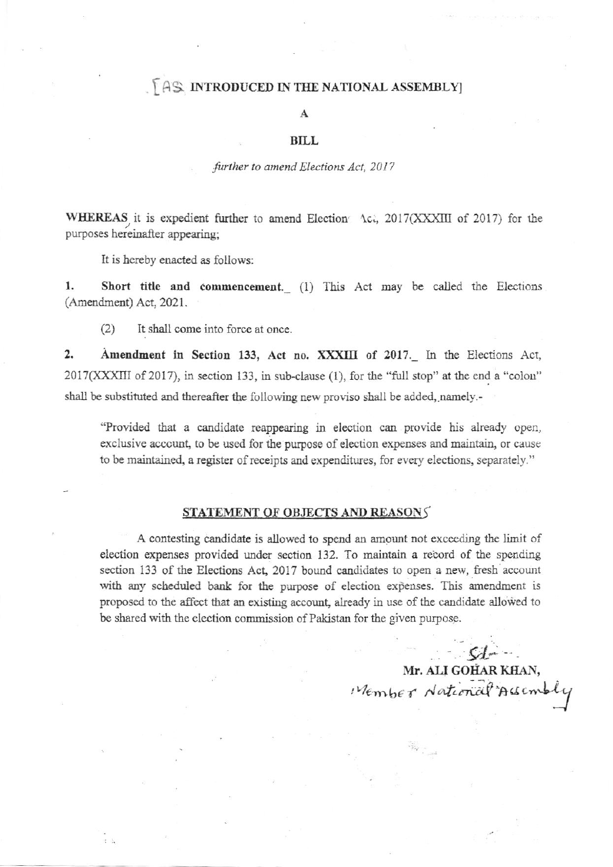## AS INTRODUCED IN THE NATIONAL ASSEMBLY

#### A

#### **BILL**

#### further to amend Elections Act, 2017

WHEREAS it is expedient further to amend Election Act, 2017(XXXIII of 2017) for the purposes hereinafter appearing:

It is hereby enacted as follows:

1. Short title and commencement. (1) This Act may be called the Elections (Amendment) Act, 2021.

 $(2)$ It shall come into force at once.

 $2.$ Amendment in Section 133, Act no. XXXIII of 2017. In the Elections Act, 2017(XXXIII of 2017), in section 133, in sub-clause (1), for the "full stop" at the end a "colon" shall be substituted and thereafter the following new proviso shall be added, namely.-

"Provided that a candidate reappearing in election can provide his already open, exclusive account, to be used for the purpose of election expenses and maintain, or cause to be maintained, a register of receipts and expenditures, for every elections, separately."

### STATEMENT OF OBJECTS AND REASONS

A contesting candidate is allowed to spend an amount not exceeding the limit of election expenses provided under section 132. To maintain a record of the spending section 133 of the Elections Act, 2017 bound candidates to open a new, fresh account with any scheduled bank for the purpose of election expenses. This amendment is proposed to the affect that an existing account, already in use of the candidate allowed to be shared with the election commission of Pakistan for the given purpose.

> $C$ Mr. ALI GOHAR KHAN, Member National Acsembly